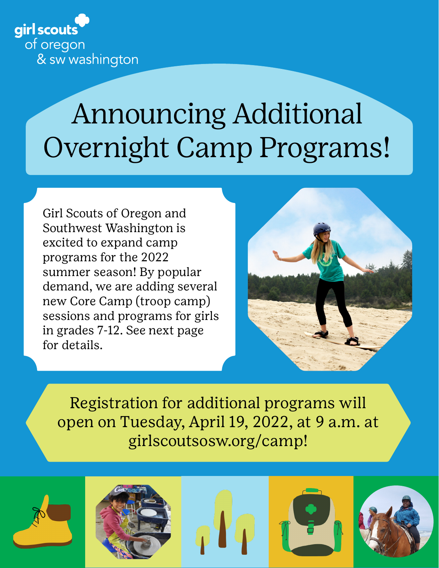

# Announcing Additional Overnight Camp Programs!

Girl Scouts of Oregon and Southwest Washington is excited to expand camp programs for the 2022 summer season! By popular demand, we are adding several new Core Camp (troop camp) sessions and programs for girls in grades 7-12. See next page for details.



Registration for additional programs will open on Tuesday, April 19, 2022, at 9 a.m. at girlscoutsosw.org/camp!